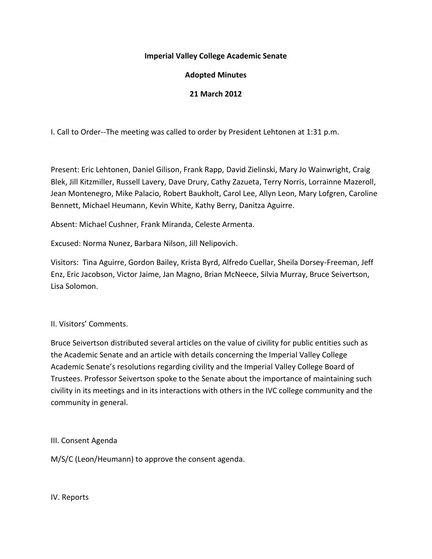## **Imperial Valley College Academic Senate**

# **Adopted Minutes**

## **21 March 2012**

I. Call to Order--The meeting was called to order by President Lehtonen at 1:31 p.m.

Present: Eric Lehtonen, Daniel Gilison, Frank Rapp, David Zielinski, Mary Jo Wainwright, Craig Blek, Jill Kitzmiller, Russell Lavery, Dave Drury, Cathy Zazueta, Terry Norris, Lorrainne Mazeroll, Jean Montenegro, Mike Palacio, Robert Baukholt, Carol Lee, Allyn Leon, Mary Lofgren, Caroline Bennett, Michael Heumann, Kevin White, Kathy Berry, Danitza Aguirre.

Absent: Michael Cushner, Frank Miranda, Celeste Armenta.

Excused: Norma Nunez, Barbara Nilson, Jill Nelipovich.

Visitors: Tina Aguirre, Gordon Bailey, Krista Byrd, Alfredo Cuellar, Sheila Dorsey-Freeman, Jeff Enz, Eric Jacobson, Victor Jaime, Jan Magno, Brian McNeece, Silvia Murray, Bruce Seivertson, Lisa Solomon.

#### II. Visitors' Comments.

Bruce Seivertson distributed several articles on the value of civility for public entities such as the Academic Senate and an article with details concerning the Imperial Valley College Academic Senate's resolutions regarding civility and the Imperial Valley College Board of Trustees. Professor Seivertson spoke to the Senate about the importance of maintaining such civility in its meetings and in its interactions with others in the IVC college community and the community in general.

#### III. Consent Agenda

M/S/C (Leon/Heumann) to approve the consent agenda.

IV. Reports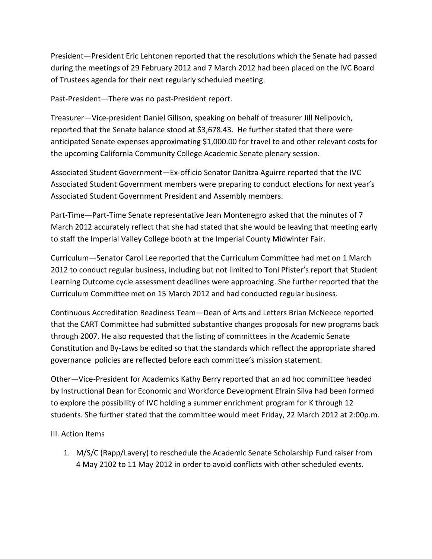President—President Eric Lehtonen reported that the resolutions which the Senate had passed during the meetings of 29 February 2012 and 7 March 2012 had been placed on the IVC Board of Trustees agenda for their next regularly scheduled meeting.

Past-President—There was no past-President report.

Treasurer—Vice-president Daniel Gilison, speaking on behalf of treasurer Jill Nelipovich, reported that the Senate balance stood at \$3,678.43. He further stated that there were anticipated Senate expenses approximating \$1,000.00 for travel to and other relevant costs for the upcoming California Community College Academic Senate plenary session.

Associated Student Government—Ex-officio Senator Danitza Aguirre reported that the IVC Associated Student Government members were preparing to conduct elections for next year's Associated Student Government President and Assembly members.

Part-Time—Part-Time Senate representative Jean Montenegro asked that the minutes of 7 March 2012 accurately reflect that she had stated that she would be leaving that meeting early to staff the Imperial Valley College booth at the Imperial County Midwinter Fair.

Curriculum—Senator Carol Lee reported that the Curriculum Committee had met on 1 March 2012 to conduct regular business, including but not limited to Toni Pfister's report that Student Learning Outcome cycle assessment deadlines were approaching. She further reported that the Curriculum Committee met on 15 March 2012 and had conducted regular business.

Continuous Accreditation Readiness Team—Dean of Arts and Letters Brian McNeece reported that the CART Committee had submitted substantive changes proposals for new programs back through 2007. He also requested that the listing of committees in the Academic Senate Constitution and By-Laws be edited so that the standards which reflect the appropriate shared governance policies are reflected before each committee's mission statement.

Other—Vice-President for Academics Kathy Berry reported that an ad hoc committee headed by Instructional Dean for Economic and Workforce Development Efrain Silva had been formed to explore the possibility of IVC holding a summer enrichment program for K through 12 students. She further stated that the committee would meet Friday, 22 March 2012 at 2:00p.m.

III. Action Items

1. M/S/C (Rapp/Lavery) to reschedule the Academic Senate Scholarship Fund raiser from 4 May 2102 to 11 May 2012 in order to avoid conflicts with other scheduled events.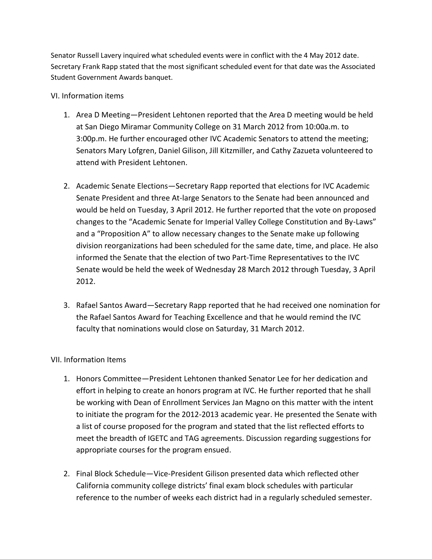Senator Russell Lavery inquired what scheduled events were in conflict with the 4 May 2012 date. Secretary Frank Rapp stated that the most significant scheduled event for that date was the Associated Student Government Awards banquet.

## VI. Information items

- 1. Area D Meeting—President Lehtonen reported that the Area D meeting would be held at San Diego Miramar Community College on 31 March 2012 from 10:00a.m. to 3:00p.m. He further encouraged other IVC Academic Senators to attend the meeting; Senators Mary Lofgren, Daniel Gilison, Jill Kitzmiller, and Cathy Zazueta volunteered to attend with President Lehtonen.
- 2. Academic Senate Elections—Secretary Rapp reported that elections for IVC Academic Senate President and three At-large Senators to the Senate had been announced and would be held on Tuesday, 3 April 2012. He further reported that the vote on proposed changes to the "Academic Senate for Imperial Valley College Constitution and By-Laws" and a "Proposition A" to allow necessary changes to the Senate make up following division reorganizations had been scheduled for the same date, time, and place. He also informed the Senate that the election of two Part-Time Representatives to the IVC Senate would be held the week of Wednesday 28 March 2012 through Tuesday, 3 April 2012.
- 3. Rafael Santos Award—Secretary Rapp reported that he had received one nomination for the Rafael Santos Award for Teaching Excellence and that he would remind the IVC faculty that nominations would close on Saturday, 31 March 2012.

# VII. Information Items

- 1. Honors Committee—President Lehtonen thanked Senator Lee for her dedication and effort in helping to create an honors program at IVC. He further reported that he shall be working with Dean of Enrollment Services Jan Magno on this matter with the intent to initiate the program for the 2012-2013 academic year. He presented the Senate with a list of course proposed for the program and stated that the list reflected efforts to meet the breadth of IGETC and TAG agreements. Discussion regarding suggestions for appropriate courses for the program ensued.
- 2. Final Block Schedule—Vice-President Gilison presented data which reflected other California community college districts' final exam block schedules with particular reference to the number of weeks each district had in a regularly scheduled semester.